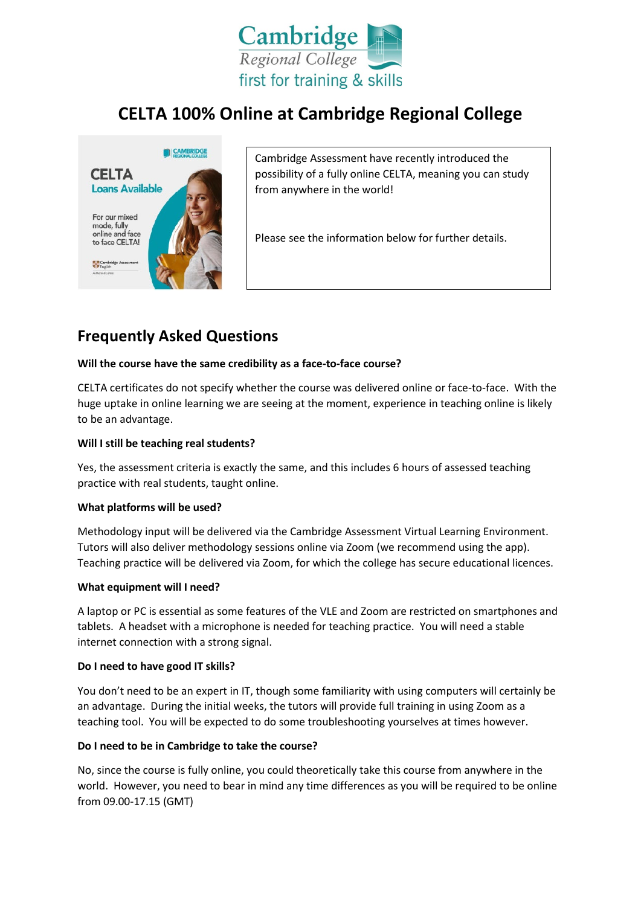

# **CELTA 100% Online at Cambridge Regional College**



Cambridge Assessment have recently introduced the possibility of a fully online CELTA, meaning you can study from anywhere in the world!

Please see the information below for further details.

## **Frequently Asked Questions**

## **Will the course have the same credibility as a face-to-face course?**

CELTA certificates do not specify whether the course was delivered online or face-to-face. With the huge uptake in online learning we are seeing at the moment, experience in teaching online is likely to be an advantage.

## **Will I still be teaching real students?**

Yes, the assessment criteria is exactly the same, and this includes 6 hours of assessed teaching practice with real students, taught online.

#### **What platforms will be used?**

Methodology input will be delivered via the Cambridge Assessment Virtual Learning Environment. Tutors will also deliver methodology sessions online via Zoom (we recommend using the app). Teaching practice will be delivered via Zoom, for which the college has secure educational licences.

#### **What equipment will I need?**

A laptop or PC is essential as some features of the VLE and Zoom are restricted on smartphones and tablets. A headset with a microphone is needed for teaching practice. You will need a stable internet connection with a strong signal.

#### **Do I need to have good IT skills?**

You don't need to be an expert in IT, though some familiarity with using computers will certainly be an advantage. During the initial weeks, the tutors will provide full training in using Zoom as a teaching tool. You will be expected to do some troubleshooting yourselves at times however.

## **Do I need to be in Cambridge to take the course?**

No, since the course is fully online, you could theoretically take this course from anywhere in the world. However, you need to bear in mind any time differences as you will be required to be online from 09.00-17.15 (GMT)